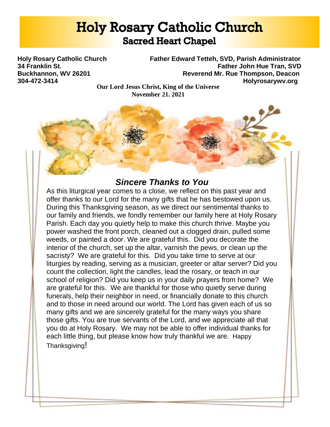# **Holy Rosary Catholic Church Sacred Heart Chapel**

**Holy Rosary Catholic Church Father Edward Tetteh, SVD, Parish Administrator 34 Franklin St. Father John Hue Tran, SVD Buckhannon, WV 26201 Reverend Mr. Rue Thompson, Deacon 304-472-3414 Holyrosarywv.org**

**Our Lord Jesus Christ, King of the Universe November 21, 2021**

# *Sincere Thanks to You*

As this liturgical year comes to a close, we reflect on this past year and offer thanks to our Lord for the many gifts that he has bestowed upon us. During this Thanksgiving season, as we direct our sentimental thanks to our family and friends, we fondly remember our family here at Holy Rosary Parish. Each day you quietly help to make this church thrive. Maybe you power washed the front porch, cleaned out a clogged drain, pulled some weeds, or painted a door. We are grateful this. Did you decorate the interior of the church, set up the altar, varnish the pews, or clean up the sacristy? We are grateful for this. Did you take time to serve at our liturgies by reading, serving as a musician, greeter or altar server? Did you count the collection, light the candles, lead the rosary, or teach in our school of religion? Did you keep us in your daily prayers from home? We are grateful for this. We are thankful for those who quietly serve during funerals, help their neighbor in need, or financially donate to this church and to those in need around our world. The Lord has given each of us so many gifts and we are sincerely grateful for the many ways you share those gifts. You are true servants of the Lord, and we appreciate all that you do at Holy Rosary. We may not be able to offer individual thanks for each little thing, but please know how truly thankful we are. Happy Thanksgiving!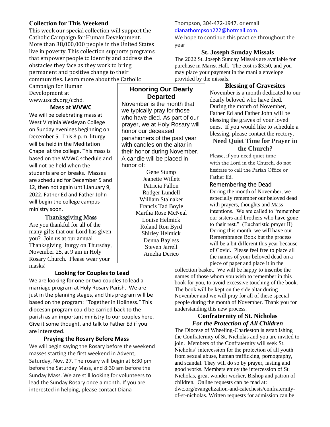# **Collection for This Weekend**

This week our special collection will support the Catholic Campaign for Human Development. More than 38,000,000 people in the United States live in poverty. This collection supports programs that empower people to identify and address the obstacles they face as they work to bring permanent and positive change to their communities. Learn more about the Catholic

Campaign for Human Development at www.usccb.org/cchd.

#### **Mass at WVWC**

We will be celebrating mass at West Virginia Wesleyan College on Sunday evenings beginning on December 5. This 8 p.m. liturgy will be held in the Meditation Chapel at the college. This mass is based on the WVWC schedule and will not be held when the students are on breaks. Masses are scheduled for December 5 and 12, then not again until January 9, 2022. Father Ed and Father John will begin the college campus ministry soon.

## Thanksgiving Mass

Are you thankful for all of the many gifts that our Lord has given you? Join us at our annual Thanksgiving liturgy on Thursday, November 25, at 9 am in Holy Rosary Church. Please wear your masks!

# **Honoring Our Dearly Departed**

November is the month that we typically pray for those who have died. As part of our prayer, we at Holy Rosary will honor our deceased parishioners of the past year with candles on the altar in their honor during November. A candle will be placed in honor of:

> Gene Stump Jeanette Willett Patricia Fallon Rodger Lundell William Stalnaker Francis Tad Boyle Martha Rose McNeal Louise Helmick Roland Ron Byrd Shirley Helmick Denna Bayless Steven Jarrell Amelia Derico

## Thompson, 304-472-1947, or email

[dianathompson222@hotmail.com.](mailto:dianathompson222@hotmail.com)

We hope to continue this practice throughout the year

#### **St. Joseph Sunday Missals**

The 2022 St. Joseph Sunday Missals are available for purchase in Marist Hall. The cost is \$3.50, and you may place your payment in the manila envelope provided by the missals.

#### **Blessing of Gravesites**

November is a month dedicated to our dearly beloved who have died. During the month of November, Father Ed and Father John will be blessing the graves of your loved ones. If you would like to schedule a blessing, please contact the rectory.

#### **Need Quiet Time for Prayer in the Church?**

Please, if you need quiet time with the Lord in the Church, do not hesitate to call the Parish Office or Father Ed.

#### Remembering the Dead

During the month of November, we especially remember our beloved dead with prayers, thoughts and Mass intentions. We are called to "remember our sisters and brothers who have gone to their rest." (Eucharistic prayer II) During this month, we will have our Remembrance Book but the process will be a bit different this year because of Covid. Please feel free to place all the names of your beloved dead on a piece of paper and place it in the

## **Looking for Couples to Lead**

We are looking for one or two couples to lead a marriage program at Holy Rosary Parish. We are just in the planning stages, and this program will be based on the program: "Together in Holiness." This diocesan program could be carried back to the parish as an important ministry to our couples here. Give it some thought, and talk to Father Ed if you are interested.

## **Praying the Rosary Before Mass**

We will begin saying the Rosary before the weekend masses starting the first weekend in Advent, Saturday, Nov. 27. The rosary will begin at 6:30 pm before the Saturday Mass, and 8:30 am before the Sunday Mass. We are still looking for volunteers to lead the Sunday Rosary once a month. If you are interested in helping, please contact Diana

collection basket. We will be happy to inscribe the names of those whom you wish to remember in this book for you, to avoid excessive touching of the book. The book will be kept on the side altar during November and we will pray for all of these special people during the month of November. Thank you for understanding this new process.

#### **Confraternity of St. Nicholas** *For the Protection of All Children*

The Diocese of Wheeling-Charleston is establishing the Confraternity of St. Nicholas and you are invited to join. Members of the Confraternity will seek St. Nicholas' intercession for the protection of all youth from sexual abuse, human trafficking, pornography, and scandal. They will do so by prayer, fasting and good works. Members enjoy the intercession of St. Nicholas, great wonder worker, Bishop and patron of children. Online requests can be mad at: dwc.org/evangelization-and-catechesis/confraternityof-st-nicholas. Written requests for admission can be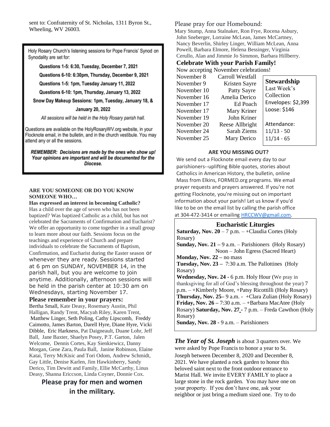sent to: Confraternity of St. Nicholas, 1311 Byron St., Wheeling, WV 26003.

Holy Rosary Church's listening sessions for Pope Francis' Synod on Synodality are set for:

Questions 1-5: 6:30, Tuesday, December 7, 2021

Questions 6-10: 6:30pm, Thursday, December 9, 2021

Questions 1-5: 1pm, Tuesday January 11, 2022

Questions 6-10: 1pm, Thursday, January 13, 2022

Snow Day Makeup Sessions: 1pm, Tuesday, January 18, &

#### **January 20, 2022**

All sessions will be held in the Holy Rosary parish hall.

Questions are available on the HolyRosaryWV.org website, in your Flocknote email, in the bulletin, and in the church vestibule. You may attend any or all the sessions.

REMEMBER: Decisions are made by the ones who show up! Your opinions are important and will be documented for the Diocese.

#### **ARE YOU SOMEONE OR DO YOU KNOW SOMEONE WHO…**

**Has expressed an interest in becoming Catholic?**

Has a child over the age of seven who has not been baptized? Was baptized Catholic as a child, but has not celebrated the Sacraments of Confirmation and Eucharist? We offer an opportunity to come together in a small group to learn more about our faith. Sessions focus on the teachings and experience of Church and prepare individuals to celebrate the Sacraments of Baptism, Confirmation, and Eucharist during the Easter season or whenever they are ready. Sessions started at 6 pm on SUNDAY, NOVEMBER 14, in the parish hall, but you are welcome to join anytime. Additionally, afternoon sessions will be held in the parish center at 10:30 am on Wednesdays, starting November 17.

#### **Please remember in your prayers:**

Bertha Small, Kate Deasy, Rosemary Austin, Phil Halligan, Randy Trent, Macyah Riley, Karen Trent, Matthew Linger, Seth Poling, Cathy Lipscomb, Freddy Caimotto, James Barton, Darell Hyre, Diane Hyre, Vicki Dibble, Eric Harkness, Pat Daigneault, Duane Lohr, Jeff Ball, Jane Baxter, Shaelyn Posey, P.T. Garton, Jalen Welcome, Dennis Cortes, Kay Sienkiewicz, Danny Morgan, Gene Zara, Paula Ball, Janine Robinson, Elaine Katai, Terry McKisic and Tori Odom, Andrew Schmidt, Gay Little, Denise Karlen, Jim Hawkinberry, Sandy Derico, Tim Dewitt and Family, Ellie McCarthy, Linus Deasy, Shanna Ericcson, Linda Coyner, Donnie Cox.

# **Please pray for men and women in the military.**

Please pray for our Homebound:

Mary Stump, Anna Stalnaker, Ron Frye, Rocena Asbury, John Sneberger, Lorraine McLean, James McCartney, Nancy Beverlin, Shirley Linger, William McLean, Anna Powell, Barbara Elmore, Helena Bessinger, Virginia Cerullo, Alan and Jimmie Jo Simmon, Barbara Hillberry.

#### **Celebrate With your Parish Family!**

Now accepting November celebrations!

| November 8  | Carroll Westfall |                    |
|-------------|------------------|--------------------|
| November 9  | Kristen Sayre    | <b>Stewardship</b> |
| November 10 | Patty Sayre      | Last Week's        |
| November 16 | Amelia Derico    | Collection         |
| November 17 | Ed Poach         | Envelopes: \$2,399 |
| November 17 | Mary Kriner      | Loose: \$146       |
| November 19 | John Kriner      |                    |
| November 20 | Reese Allbright  | Attendance:        |
| November 24 | Sarah Ziems      | $11/13 - 50$       |
| November 25 | Mary Derico      | $11/14 - 65$       |
|             |                  |                    |

#### **ARE YOU MISSING OUT?**

We send out a Flocknote email every day to our parishioners--uplifting Bible quotes, stories about Catholics in American History, the bulletin, online Mass from Elkins, FORMED.org programs. We email prayer requests and prayers answered. If you're not getting Flocknote, you're missing out on important information about your parish! Let us know if you'd like to be on the email list by calling the parish office at 304-472-3414 or emailing [HRCCWV@gmail.com.](mailto:HRCCWV@gmail.com)

#### **Eucharistic Liturgies**

**Saturday, Nov.**  $20 - 7$  **p.m.**  $-$  **+Claudia Cortes (Holy)** Rosary)

**Sunday, Nov. 21 –** 9 a.m. – Parishioners (Holy Rosary) Noon – John Egress (Sacred Heart)

**Monday, Nov. 22 – no mass** 

**Tuesday, Nov. 23 –** 7:30 a.m. The Pallottines (Holy Rosary)

**Wednesday, Nov. 24 -** 6 p.m. Holy Hour (We pray in thanksgiving for all of God's blessing throughout the year) 7 p.m. – +Kimberly Moore, +Patsy Ricottilli (Holy Rosary) **Thursday, Nov. 25–** 9 a.m. - +Clara Zulian (Holy Rosary) **Friday, Nov. 26 –** 7:30 a.m. – +Barbara MacAtee (Holy Rosary) **Saturday, Nov. 27 -** 7 p.m. – Freda Cawthon (Holy Rosary)

**Sunday, Nov. 28 -** 9 a.m. – Parishioners

*The Year of St. Joseph* is about 3 quarters over. We were asked by Pope Francis to honor a year to St. Joseph between December 8, 2020 and December 8,

2021. We have planted a rock garden to honor this beloved saint next to the front outdoor entrance to Marist Hall. We invite EVERY FAMILY to place a large stone in the rock garden. You may have one on your property. If you don't have one, ask your neighbor or just bring a medium sized one. Try to do